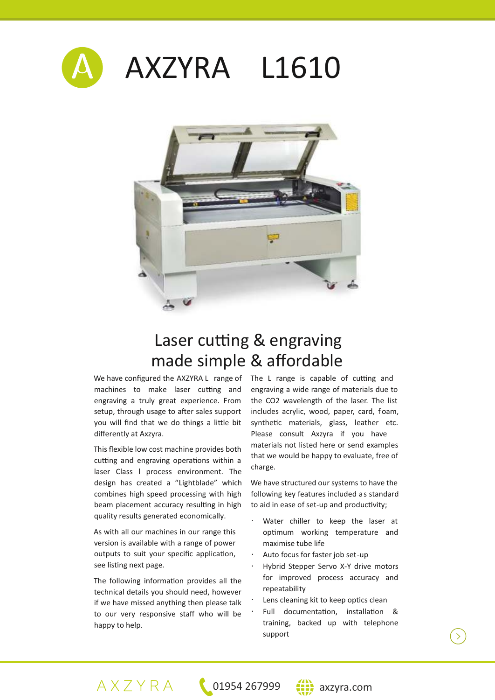



## Laser cutting & engraving made simple & affordable

We have configured the AXZYRA L range of machines to make laser cutting and engraving a truly great experience. From setup, through usage to after sales support you will find that we do things a little bit differently at Axzyra.

This flexible low cost machine provides both cutting and engraving operations within a laser Class l process environment. The design has created a "Lightblade" which combines high speed processing with high beam placement accuracy resulting in high quality results generated economically.

As with all our machines in our range this version is available with a range of power outputs to suit your specific application, see listing next page.

The following information provides all the technical details you should need, however if we have missed anything then please talk to our very responsive staff who will be happy to help.

The L range is capable of cutting and engraving a wide range of materials due to the CO2 wavelength of the laser. The list includes acrylic, wood, paper, card, foam, synthetic materials, glass, leather etc. Please consult Axzyra if you have materials not listed here or send examples that we would be happy to evaluate, free of charge.

We have structured our systems to have the following key features included as standard to aid in ease of set-up and productivity;

- Water chiller to keep the laser at optimum working temperature and maximise tube life
- Auto focus for faster job set-up
- Hybrid Stepper Servo X-Y drive motors for improved process accuracy and repeatability
- Lens cleaning kit to keep optics clean
- Full documentation, installation & training, backed up with telephone support



 $\overline{\sum}$